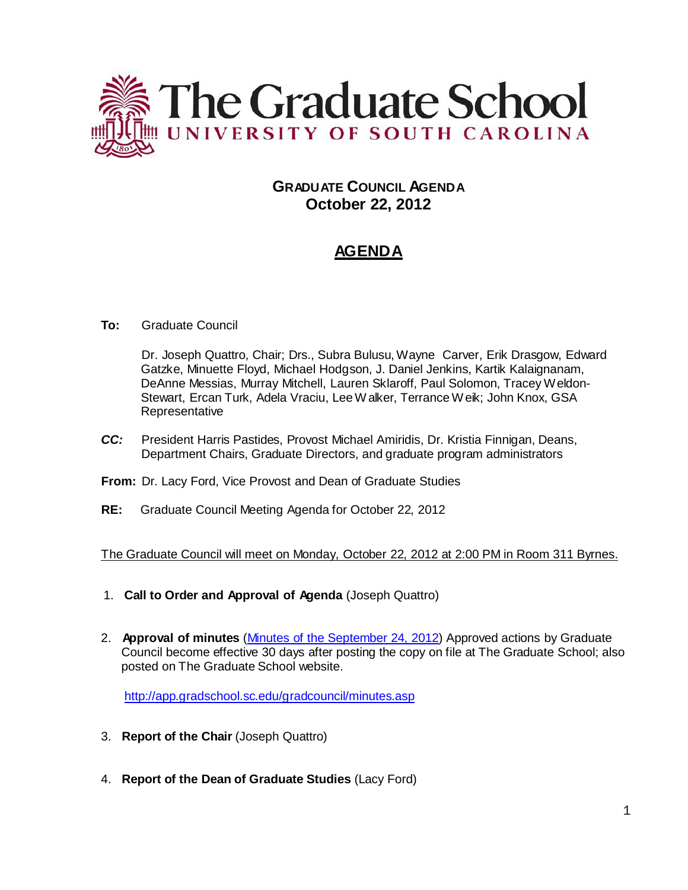

# **GRADUATE COUNCIL AGENDA October 22, 2012**

# **AGENDA**

# **To:** Graduate Council

Dr. Joseph Quattro, Chair; Drs., Subra Bulusu, Wayne Carver, Erik Drasgow, Edward Gatzke, Minuette Floyd, Michael Hodgson, J. Daniel Jenkins, Kartik Kalaignanam, DeAnne Messias, Murray Mitchell, Lauren Sklaroff, Paul Solomon, Tracey Weldon-Stewart, Ercan Turk, Adela Vraciu, LeeW alker, Terrance Weik; John Knox, GSA Representative

- *CC:* President Harris Pastides, Provost Michael Amiridis, Dr. Kristia Finnigan, Deans, Department Chairs, Graduate Directors, and graduate program administrators
- **From:** Dr. Lacy Ford, Vice Provost and Dean of Graduate Studies
- **RE:** Graduate Council Meeting Agenda for October 22, 2012

The Graduate Council will meet on Monday, October 22, 2012 at 2:00 PM in Room 311 Byrnes.

- 1. **Call to Order and Approval of Agenda** (Joseph Quattro)
- 2. **Approval of minutes** (Minutes of the [September](http://app.gradschool.sc.edu/includes/filedownload-public.asp?location=E%3A\GMS\GRADCOUNCIL\2012\GCMinutes082712.pdf&amp%3Bamp%3Bamp%3Bfile_name=GCMinutes082712.pdf) 24, 2012) Approved actions by Graduate Council become effective 30 days after posting the copy on file at The Graduate School; also posted on The Graduate School website.

<http://app.gradschool.sc.edu/gradcouncil/minutes.asp>

- 3. **Report of the Chair** (Joseph Quattro)
- 4. **Report of the Dean of Graduate Studies** (Lacy Ford)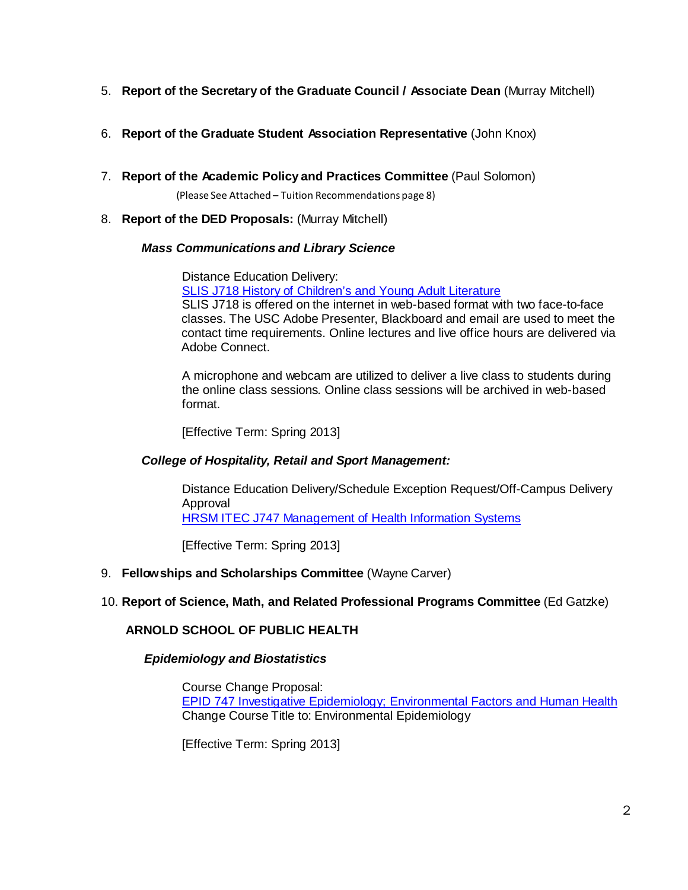- 5. **Report of the Secretary of the Graduate Council / Associate Dean** (Murray Mitchell)
- 6. **Report of the Graduate Student Association Representative** (John Knox)
- 7. **Report of the Academic Policy and Practices Committee** (Paul Solomon)

(Please See Attached – Tuition Recommendations page 8)

#### 8. **Report of the DED Proposals:** (Murray Mitchell)

#### *Mass Communications and Library Science*

Distance Education Delivery:

[SLIS J718](http://app.gradschool.sc.edu/includes/filedownload-public.asp?location=E%3A\GMS\GRADCOUNCIL\2012\DEDCMCIS%20SLIS%202012924.pdf&amp%3Bamp%3Bamp%3Bfile_name=DEDCMCIS%20SLIS%202012924.pdf) History of Children's and Young Adult Literature

SLIS J718 is offered on the internet in web-based format with two face-to-face classes. The USC Adobe Presenter, Blackboard and email are used to meet the contact time requirements. Online lectures and live office hours are delivered via Adobe Connect.

A microphone and webcam are utilized to deliver a live class to students during the online class sessions. Online class sessions will be archived in web-based format.

[Effective Term: Spring 2013]

# *College of Hospitality, Retail and Sport Management:*

Distance Education Delivery/Schedule Exception Request/Off-Campus Delivery Approval HRSM ITEC J747 [Management](http://app.gradschool.sc.edu/includes/filedownload-public.asp?location=E%3A\GMS\GRADCOUNCIL\2012\DEDITEC747_201241_Redacted.pdf&amp%3Bamp%3Bamp%3Bfile_name=DEDITEC747_201241_Redacted.pdf) of Health Information Systems

[Effective Term: Spring 2013]

#### 9. **Fellowships and Scholarships Committee** (Wayne Carver)

# 10. **Report of Science, Math, and Related Professional Programs Committee** (Ed Gatzke)

# **ARNOLD SCHOOL OF PUBLIC HEALTH**

#### *Epidemiology and Biostatistics*

Course Change Proposal: EPID 747 Investigative Epidemiology; [Environmental Factors](http://app.gradschool.sc.edu/includes/filedownload-public.asp?location=E%3A\GMS\GRADCOUNCIL\2012\EPID%20747%20CCP%20(Public%20Health%2010-1-2012).pdf&amp%3Bamp%3Bamp%3Bfile_name=EPID%20747%20CCP%20(Public%20Health%2010-1-2012).pdf) and Human Health Change Course Title to: Environmental Epidemiology

[Effective Term: Spring 2013]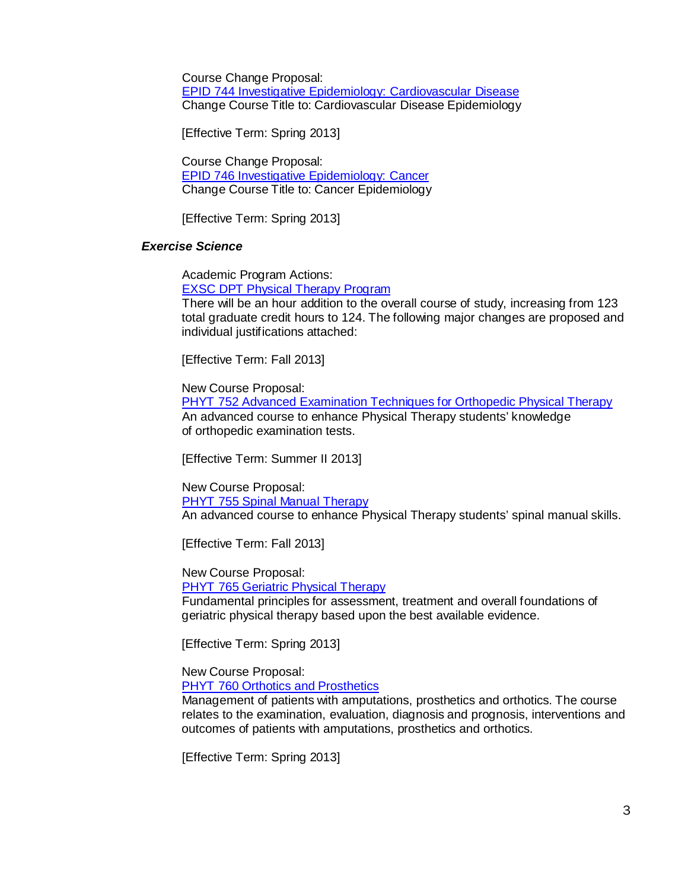Course Change Proposal: EPID 744 Investigative Epidemiology: [Cardiovascular](http://app.gradschool.sc.edu/includes/filedownload-public.asp?location=E%3A\GMS\GRADCOUNCIL\2012\EPID%20744%20CCP%20(Public%20Health%2010-1-2012).pdf&amp%3Bamp%3Bamp%3Bfile_name=EPID%20744%20CCP%20(Public%20Health%2010-1-2012).pdf) Disease Change Course Title to: Cardiovascular Disease Epidemiology

[Effective Term: Spring 2013]

Course Change Proposal: EPID 746 Investigative [Epidemiology:](http://app.gradschool.sc.edu/includes/filedownload-public.asp?location=E%3A\GMS\GRADCOUNCIL\2012\EPID%20746%20CCP%20(Public%20Health%2010-1-2012).pdf&amp%3Bamp%3Bamp%3Bfile_name=EPID%20746%20CCP%20(Public%20Health%2010-1-2012).pdf) Cancer Change Course Title to: Cancer Epidemiology

[Effective Term: Spring 2013]

#### *Exercise Science*

Academic Program Actions: EXSC DPT Physical Therapy [Program](http://app.gradschool.sc.edu/includes/filedownload-public.asp?location=E%3A\GMS\GRADCOUNCIL\2012\PHYT%20DPT%20APA%20((Public%20Health%2010-1-12).pdf&amp%3Bamp%3Bamp%3Bfile_name=PHYT%20DPT%20APA%20((Public%20Health%2010-1-12).pdf)

There will be an hour addition to the overall course of study, increasing from 123 total graduate credit hours to 124. The following major changes are proposed and individual justifications attached:

[Effective Term: Fall 2013]

New Course Proposal:

PHYT 752 Advanced Examination Techniques [for Orthopedic](http://app.gradschool.sc.edu/includes/filedownload-public.asp?location=E%3A\GMS\GRADCOUNCIL\2012\PHYT%20752%20NCP%20(Public%20Health%2010-1-12).pdf&amp%3Bamp%3Bamp%3Bfile_name=PHYT%20752%20NCP%20(Public%20Health%2010-1-12).pdf) Physical Therapy An advanced course to enhance Physical Therapy students' knowledge of orthopedic examination tests.

[Effective Term: Summer II 2013]

New Course Proposal: PHYT 755 Spinal Manual [Therapy](http://app.gradschool.sc.edu/includes/filedownload-public.asp?location=E%3A\GMS\GRADCOUNCIL\2012\PHYT%20755%20NCP%20(Public%20Health%2010-1-2012).pdf&amp%3Bamp%3Bamp%3Bfile_name=PHYT%20755%20NCP%20(Public%20Health%2010-1-2012).pdf) An advanced course to enhance Physical Therapy students' spinal manual skills.

[Effective Term: Fall 2013]

New Course Proposal: **PHYT 765 [Geriatric](http://app.gradschool.sc.edu/includes/filedownload-public.asp?location=E%3A\GMS\GRADCOUNCIL\2012\PHYT%20765%20NCP%20(Public%20Health%2010-1-12).pdf&amp%3Bamp%3Bamp%3Bfile_name=PHYT%20765%20NCP%20(Public%20Health%2010-1-12).pdf) Physical Therapy** 

Fundamental principles for assessment, treatment and overall foundations of geriatric physical therapy based upon the best available evidence.

[Effective Term: Spring 2013]

New Course Proposal:

**PHYT 760 Orthotics and [Prosthetics](http://app.gradschool.sc.edu/includes/filedownload-public.asp?location=E%3A\GMS\GRADCOUNCIL\2012\PHYT%20760%20NCP%20(Public%20Health%2010-1-12).pdf&amp%3Bamp%3Bamp%3Bfile_name=PHYT%20760%20NCP%20(Public%20Health%2010-1-12).pdf)** 

Management of patients with amputations, prosthetics and orthotics. The course relates to the examination, evaluation, diagnosis and prognosis, interventions and outcomes of patients with amputations, prosthetics and orthotics.

[Effective Term: Spring 2013]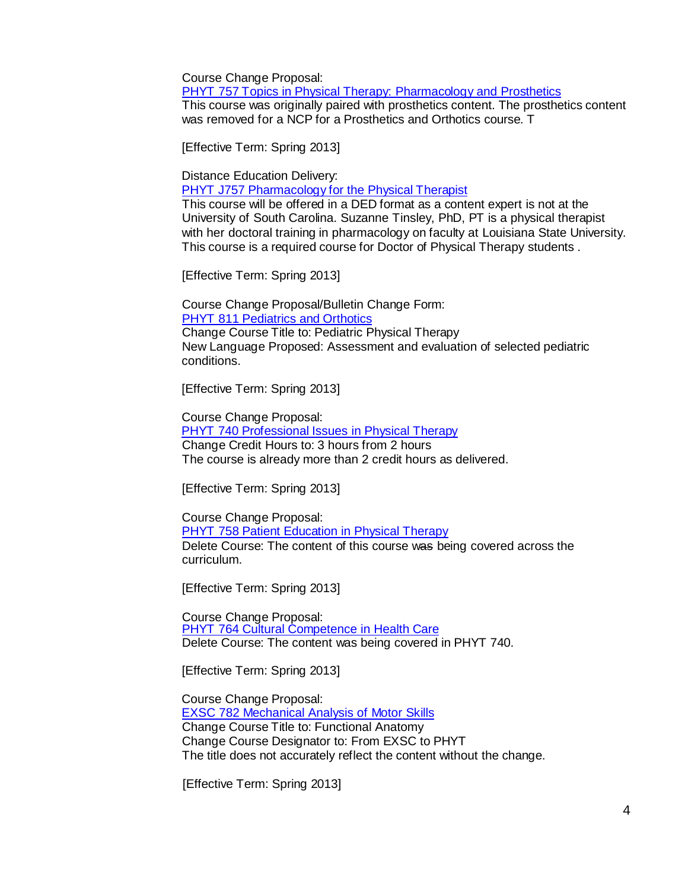Course Change Proposal:

PHYT 757 Topics in Physical Therapy: [Pharmacology](http://app.gradschool.sc.edu/includes/filedownload-public.asp?location=E%3A\GMS\GRADCOUNCIL\2012\PHYT%20757%20CCP%20(Public%20Health%2010-1-12).pdf&amp%3Bamp%3Bamp%3Bfile_name=PHYT%20757%20CCP%20(Public%20Health%2010-1-12).pdf) and Prosthetics

This course was originally paired with prosthetics content. The prosthetics content was removed for a NCP for a Prosthetics and Orthotics course. T

[Effective Term: Spring 2013]

Distance Education Delivery:

**PHYT J757 [Pharmacology](http://app.gradschool.sc.edu/includes/filedownload-public.asp?location=E%3A\GMS\GRADCOUNCIL\2012\PHYT%20%20J%20757%20DED%20(Public%20Health%2010-1-12).pdf&amp%3Bamp%3Bamp%3Bfile_name=PHYT%20%20J%20757%20DED%20(Public%20Health%2010-1-12).pdf) for the Physical Therapist** 

This course will be offered in a DED format as a content expert is not at the University of South Carolina. Suzanne Tinsley, PhD, PT is a physical therapist with her doctoral training in pharmacology on faculty at Louisiana State University. This course is a required course for Doctor of Physical Therapy students .

[Effective Term: Spring 2013]

Course Change Proposal/Bulletin Change Form: PHYT 811 [Pediatrics](http://app.gradschool.sc.edu/includes/filedownload-public.asp?location=E%3A\GMS\GRADCOUNCIL\2012\PHYT%20811%20CCP%20(Public%20Health%2010-1-2012).pdf&amp%3Bamp%3Bamp%3Bfile_name=PHYT%20811%20CCP%20(Public%20Health%2010-1-2012).pdf) and Orthotics Change Course Title to: Pediatric Physical Therapy New Language Proposed: Assessment and evaluation of selected pediatric conditions.

[Effective Term: Spring 2013]

Course Change Proposal: PHYT 740 [Professional](http://app.gradschool.sc.edu/includes/filedownload-public.asp?location=E%3A\GMS\GRADCOUNCIL\2012\PHYT%20740%20CCP%20(Public%20Health%2010-1-12).pdf&amp%3Bamp%3Bamp%3Bfile_name=PHYT%20740%20CCP%20(Public%20Health%2010-1-12).pdf) Issues in Physical Therapy Change Credit Hours to: 3 hours from 2 hours The course is already more than 2 credit hours as delivered.

[Effective Term: Spring 2013]

Course Change Proposal: PHYT 758 Patient [Education](http://app.gradschool.sc.edu/includes/filedownload-public.asp?location=E%3A\GMS\GRADCOUNCIL\2012\PHYT%20758%20CCP%20(Public%20Health%2010-1-12).pdf&amp%3Bamp%3Bamp%3Bfile_name=PHYT%20758%20CCP%20(Public%20Health%2010-1-12).pdf) in Physical Therapy Delete Course: The content of this course was being covered across the curriculum.

[Effective Term: Spring 2013]

Course Change Proposal: **PHYT 764 Cultural [Competence](http://app.gradschool.sc.edu/includes/filedownload-public.asp?location=E%3A\GMS\GRADCOUNCIL\2012\PHYT%20764%20CCP%20(Public%20Health%2010-1-12).pdf&amp%3Bamp%3Bamp%3Bfile_name=PHYT%20764%20CCP%20(Public%20Health%2010-1-12).pdf) in Health Care** Delete Course: The content was being covered in PHYT 740.

[Effective Term: Spring 2013]

Course Change Proposal: EXSC 782 [Mechanical Analysis](http://app.gradschool.sc.edu/includes/filedownload-public.asp?location=D%3A\gradschool.sc.edu\facstaff\GRADCOUNCIL\2012\EXSC%20782%20CCP%20(Public%20Health%2010-1-12).pdf&amp%3Bamp%3Bfile_name=EXSC%20782%20CCP%20(Public%20Health%2010-1-12).pdf) of Motor Skills Change Course Title to: Functional Anatomy Change Course Designator to: From EXSC to PHYT The title does not accurately reflect the content without the change.

[Effective Term: Spring 2013]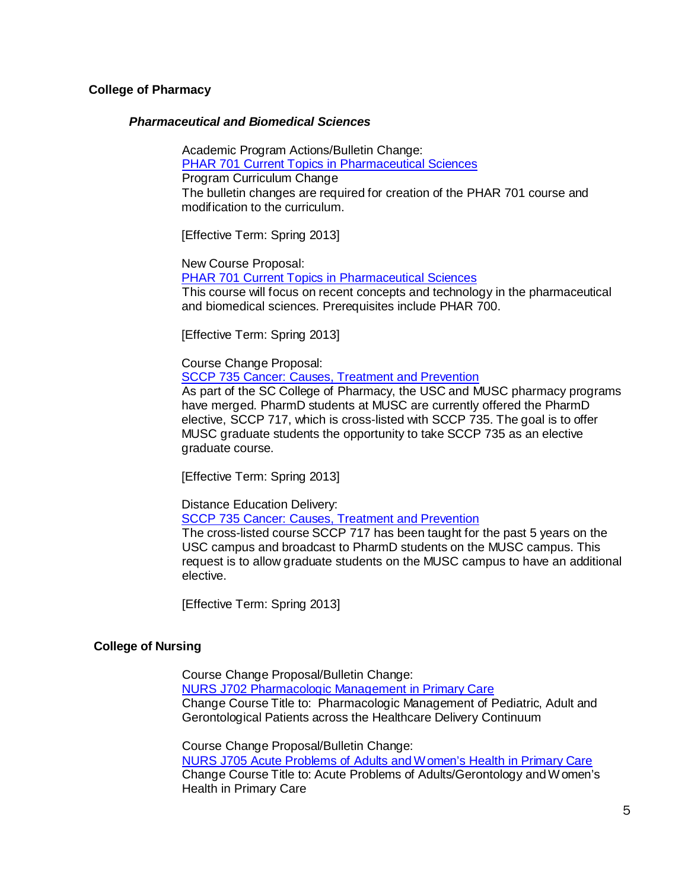## **College of Pharmacy**

#### *Pharmaceutical and Biomedical Sciences*

Academic Program Actions/Bulletin Change: PHAR 701 Current Topics in [Pharmaceutical](http://app.gradschool.sc.edu/includes/filedownload-public.asp?location=E%3A\GMS\GRADCOUNCIL\2012\PHAR701BCHCurrent%20Topics%20in%20Phar%20Sciences.pdf&amp%3Bamp%3Bamp%3Bfile_name=PHAR701BCHCurrent%20Topics%20in%20Phar%20Sciences.pdf) Sciences Program Curriculum Change The bulletin changes are required for creation of the PHAR 701 course and modification to the curriculum.

[Effective Term: Spring 2013]

New Course Proposal: PHAR 701 Current Topics in [Pharmaceutical](http://app.gradschool.sc.edu/includes/filedownload-public.asp?location=E%3A\GMS\GRADCOUNCIL\2012\PHAR701Current%20Topics%20in%20Pharmaceutical%20Sciences_Redacted.pdf&amp%3Bamp%3Bamp%3Bfile_name=PHAR701Current%20Topics%20in%20Pharmaceutical%20Sciences_Redacted.pdf) Sciences This course will focus on recent concepts and technology in the pharmaceutical and biomedical sciences. Prerequisites include PHAR 700.

[Effective Term: Spring 2013]

Course Change Proposal:

SCCP 735 Cancer: Causes, Treatment and [Prevention](http://app.gradschool.sc.edu/includes/filedownload-public.asp?location=E%3A\GMS\GRADCOUNCIL\2012\SCCP%20725%20Cancer%20Causes%2C%20Treatment%20and%20Prevention_Redacted.pdf&amp%3Bamp%3Bamp%3Bfile_name=SCCP%20725%20Cancer%20Causes%2C%20Treatment%20and%20Prevention_Redacted.pdf)

As part of the SC College of Pharmacy, the USC and MUSC pharmacy programs have merged. PharmD students at MUSC are currently offered the PharmD elective, SCCP 717, which is cross-listed with SCCP 735. The goal is to offer MUSC graduate students the opportunity to take SCCP 735 as an elective graduate course.

[Effective Term: Spring 2013]

Distance Education Delivery:

SCCP 735 Cancer: Causes, Treatment and [Prevention](http://app.gradschool.sc.edu/includes/filedownload-public.asp?location=E%3A\GMS\GRADCOUNCIL\2012\SCCP%20725%20Cancer%20Causes%2C%20Treatment%20and%20Prevention_Redacted.pdf&amp%3Bamp%3Bamp%3Bfile_name=SCCP%20725%20Cancer%20Causes%2C%20Treatment%20and%20Prevention_Redacted.pdf)

The cross-listed course SCCP 717 has been taught for the past 5 years on the USC campus and broadcast to PharmD students on the MUSC campus. This request is to allow graduate students on the MUSC campus to have an additional elective.

[Effective Term: Spring 2013]

#### **College of Nursing**

Course Change Proposal/Bulletin Change: NURS J702 [Pharmacologic](http://app.gradschool.sc.edu/includes/filedownload-public.asp?location=E%3A\GMS\GRADCOUNCIL\2012\CCPNURSJ702_201241_Redacted.pdf&amp%3Bamp%3Bamp%3Bfile_name=CCPNURSJ702_201241_Redacted.pdf) Management in Primary Care Change Course Title to: Pharmacologic Management of Pediatric, Adult and Gerontological Patients across the Healthcare Delivery Continuum

Course Change Proposal/Bulletin Change:

[NURS J705](http://app.gradschool.sc.edu/includes/filedownload-public.asp?location=E%3A\GMS\GRADCOUNCIL\2012\CCPNURSJ705_201241_Redacted.pdf&amp%3Bamp%3Bamp%3Bfile_name=CCPNURSJ705_201241_Redacted.pdf) Acute Problems of Adults and Women's Health in Primary Care Change Course Title to: Acute Problems of Adults/Gerontology andWomen's Health in Primary Care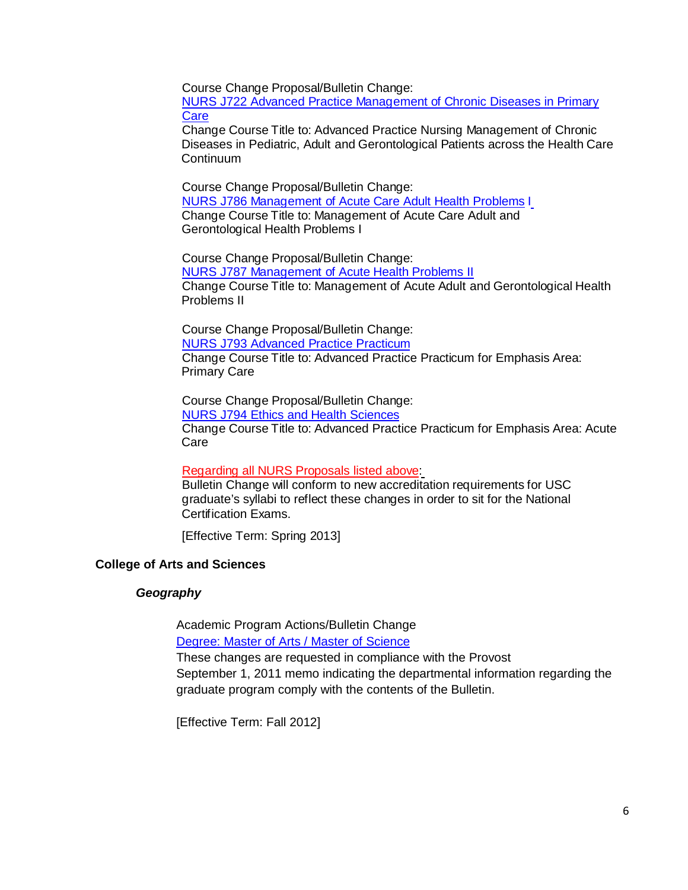Course Change Proposal/Bulletin Change:

NURS J722 Advanced Practice [Management](http://app.gradschool.sc.edu/includes/filedownload-public.asp?location=E%3A\GMS\GRADCOUNCIL\2012\CCPNURSJ722_201241_Redacted.pdf&amp%3Bamp%3Bamp%3Bfile_name=CCPNURSJ722_201241_Redacted.pdf) of Chronic Diseases in Primary **[Care](http://app.gradschool.sc.edu/includes/filedownload-public.asp?location=E%3A\GMS\GRADCOUNCIL\2012\CCPNURSJ722_201241_Redacted.pdf&amp%3Bamp%3Bamp%3Bfile_name=CCPNURSJ722_201241_Redacted.pdf)** 

Change Course Title to: Advanced Practice Nursing Management of Chronic Diseases in Pediatric, Adult and Gerontological Patients across the Health Care **Continuum** 

Course Change Proposal/Bulletin Change: NURS J786 [Management](http://app.gradschool.sc.edu/includes/filedownload-public.asp?location=E%3A\GMS\GRADCOUNCIL\2012\CCPNURSJ786_201241_Redacted.pdf&amp%3Bamp%3Bamp%3Bfile_name=CCPNURSJ786_201241_Redacted.pdf) of Acute Care Adult Health Problems I Change Course Title to: Management of Acute Care Adult and Gerontological Health Problems I

Course Change Proposal/Bulletin Change: NURS J787 [Management](http://app.gradschool.sc.edu/includes/filedownload-public.asp?location=E%3A\GMS\GRADCOUNCIL\2012\CCPNURSJ787_201241_Redacted.pdf&amp%3Bamp%3Bamp%3Bfile_name=CCPNURSJ787_201241_Redacted.pdf) of Acute Health Problems II Change Course Title to: Management of Acute Adult and Gerontological Health Problems II

Course Change Proposal/Bulletin Change: [NURS J793](http://app.gradschool.sc.edu/includes/filedownload-public.asp?location=E%3A\GMS\GRADCOUNCIL\2012\CCPNURSJ793_201241_Redacted.pdf&amp%3Bamp%3Bamp%3Bfile_name=CCPNURSJ793_201241_Redacted.pdf) Advanced Practice Practicum

Change Course Title to: Advanced Practice Practicum for Emphasis Area: Primary Care

Course Change Proposal/Bulletin Change: [NURS J794](http://app.gradschool.sc.edu/includes/filedownload-public.asp?location=E%3A\GMS\GRADCOUNCIL\2012\DEDNURSJ794_201241_Redacted.pdf&amp%3Bamp%3Bamp%3Bfile_name=DEDNURSJ794_201241_Redacted.pdf) Ethics and Health Sciences Change Course Title to: Advanced Practice Practicum for Emphasis Area: Acute Care

Regarding all NURS Proposals listed above:

Bulletin Change will conform to new accreditation requirements for USC graduate's syllabi to reflect these changes in order to sit for the National Certification Exams.

[Effective Term: Spring 2013]

#### **College of Arts and Sciences**

#### *Geography*

Academic Program Actions/Bulletin Change [Degree: Master of Arts / Master of Science](http://app.gradschool.sc.edu/includes/filedownload-public.asp?location=D:\gradschool.sc.edu\facstaff\GRADCOUNCIL\2012\APAGEOG_201241_Redacted.pdf&file_name=APAGEOG_201241_Redacted.pdf)

These changes are requested in compliance with the Provost September 1, 2011 memo indicating the departmental information regarding the

graduate program comply with the contents of the Bulletin.

[Effective Term: Fall 2012]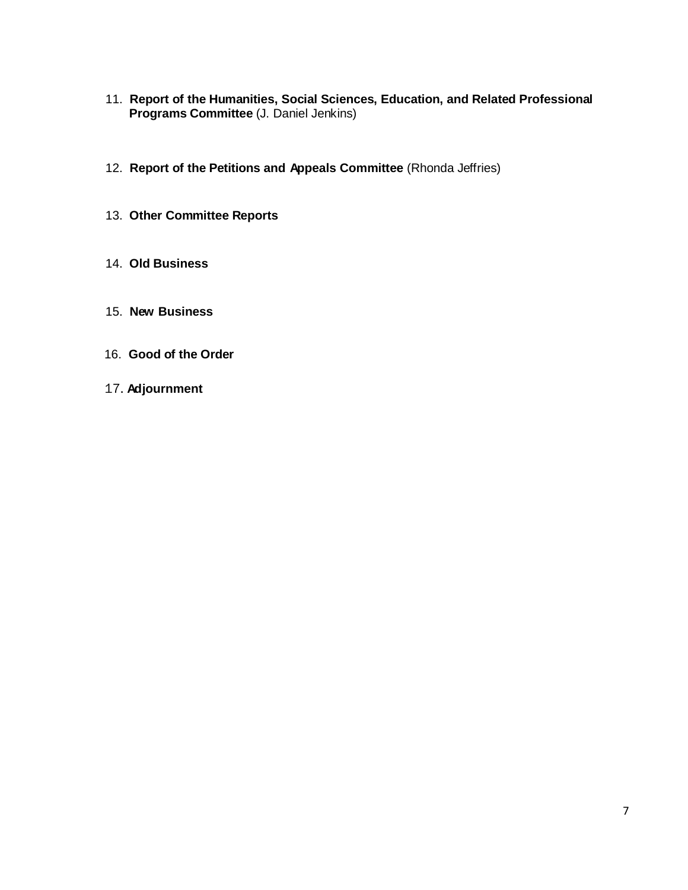- 11. **Report of the Humanities, Social Sciences, Education, and Related Professional Programs Committee** (J. Daniel Jenkins)
- 12. **Report of the Petitions and Appeals Committee** (Rhonda Jeffries)
- 13. **Other Committee Reports**
- 14. **Old Business**
- 15. **New Business**
- 16. **Good of the Order**
- 17. **Adjournment**